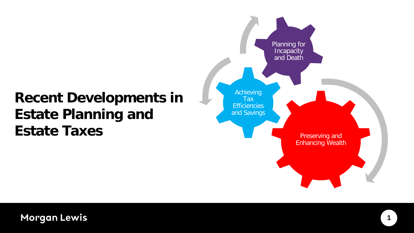## **Recent Developments in Estate Planning and Estate Taxes**

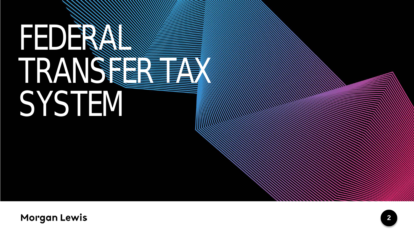# FEDERAL TRANSFER TAX **SYSTEM**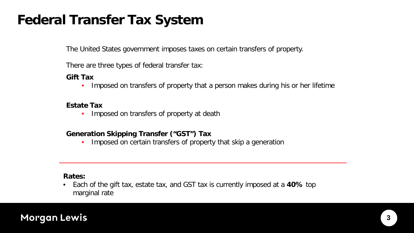## **Federal Transfer Tax System**

The United States government imposes taxes on certain transfers of property.

There are three types of federal transfer tax:

#### **Gift Tax**

• Imposed on transfers of property that a person makes during his or her lifetime

#### **Estate Tax**

• Imposed on transfers of property at death

#### **Generation Skipping Transfer ("GST") Tax**

• Imposed on certain transfers of property that skip a generation

#### **Rates:**

• Each of the gift tax, estate tax, and GST tax is currently imposed at a **40%** top marginal rate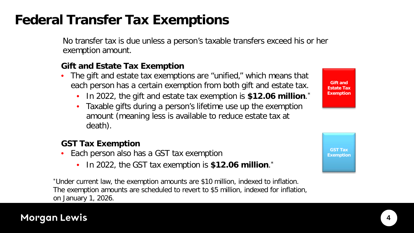## **Federal Transfer Tax Exemptions**

No transfer tax is due unless a person's taxable transfers exceed his or her exemption amount.

#### **Gift and Estate Tax Exemption**

- The gift and estate tax exemptions are "unified," which means that each person has a certain exemption from both gift and estate tax.
	- In 2022, the gift and estate tax exemption is **\$12.06 million**. \*
	- Taxable gifts during a person's lifetime use up the exemption amount (meaning less is available to reduce estate tax at death).

#### **GST Tax Exemption**

- Each person also has a GST tax exemption
	- In 2022, the GST tax exemption is **\$12.06 million**.\*

\*Under current law, the exemption amounts are \$10 million, indexed to inflation. The exemption amounts are scheduled to revert to \$5 million, indexed for inflation, on January 1, 2026.



**Gift and Estate Tax Exemption**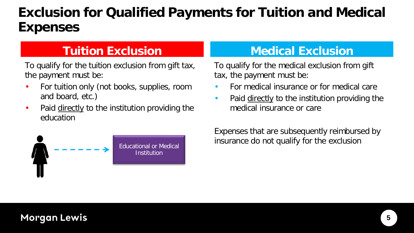## **Exclusion for Qualified Payments for Tuition and Medical Expenses**

To qualify for the tuition exclusion from gift tax, the payment must be:

- For tuition only (not books, supplies, room and board, etc.)
- Paid directly to the institution providing the education



### **Tuition Exclusion Medical Exclusion**

To qualify for the medical exclusion from gift tax, the payment must be:

- For medical insurance or for medical care
- Paid directly to the institution providing the medical insurance or care

Expenses that are subsequently reimbursed by Educational or Medical **Educational or Medical Educational or Medical Educational or Medical**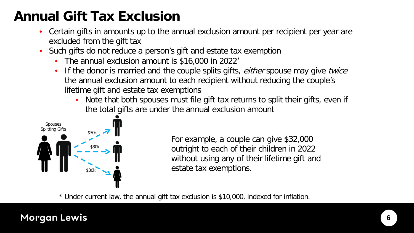## **Annual Gift Tax Exclusion**

- Certain gifts in amounts up to the annual exclusion amount per recipient per year are excluded from the gift tax
- Such gifts do not reduce a person's gift and estate tax exemption
	- The annual exclusion amount is \$16,000 in 2022<sup>\*</sup>
	- If the donor is married and the couple splits gifts, either spouse may give twice the annual exclusion amount to each recipient without reducing the couple's lifetime gift and estate tax exemptions
		- Note that both spouses must file gift tax returns to split their gifts, even if the total gifts are under the annual exclusion amount



For example, a couple can give \$32,000 outright to each of their children in 2022 without using any of their lifetime gift and estate tax exemptions.

\* Under current law, the annual gift tax exclusion is \$10,000, indexed for inflation.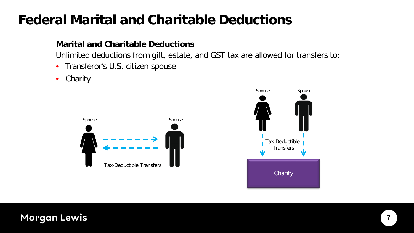## **Federal Marital and Charitable Deductions**

#### **Marital and Charitable Deductions**

Unlimited deductions from gift, estate, and GST tax are allowed for transfers to:

- Transferor's U.S. citizen spouse
- Charity



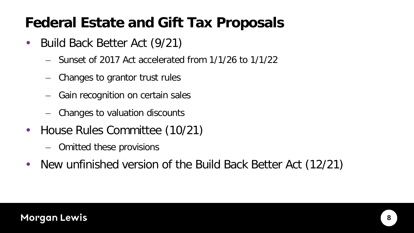## **Federal Estate and Gift Tax Proposals**

- Build Back Better Act (9/21)
	- Sunset of 2017 Act accelerated from 1/1/26 to 1/1/22
	- Changes to grantor trust rules
	- Gain recognition on certain sales
	- Changes to valuation discounts
- House Rules Committee (10/21)
	- Omitted these provisions
- New unfinished version of the Build Back Better Act (12/21)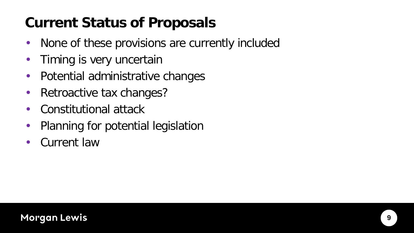## **Current Status of Proposals**

- None of these provisions are currently included
- Timing is very uncertain
- Potential administrative changes
- Retroactive tax changes?
- Constitutional attack
- Planning for potential legislation
- Current law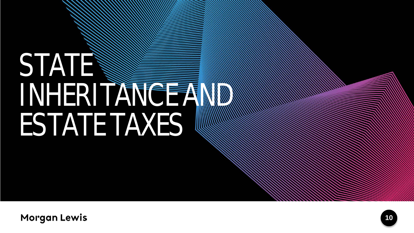## **STATE** INHERITANCE AND ESTATE TAXES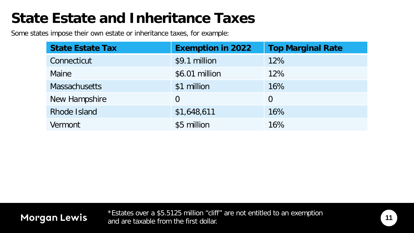## **State Estate and Inheritance Taxes**

Some states impose their own estate or inheritance taxes, for example:

**Morgan Lewis** 

| <b>State Estate Tax</b> | <b>Exemption in 2022</b> | <b>Top Marginal Rate</b> |
|-------------------------|--------------------------|--------------------------|
| Connecticut             | \$9.1 million            | 12%                      |
| Maine                   | \$6.01 million           | 12%                      |
| <b>Massachusetts</b>    | \$1 million              | 16%                      |
| New Hampshire           | 0                        | $\overline{0}$           |
| Rhode Island            | \$1,648,611              | 16%                      |
| Vermont                 | \$5 million              | 16%                      |

#### \*Estates over a \$5.5125 million "cliff" are not entitled to an exemption and are taxable from the first dollar.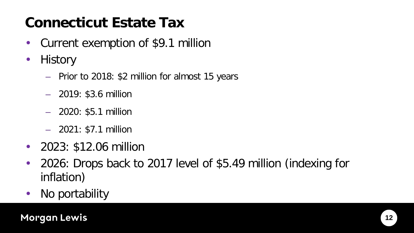## **Connecticut Estate Tax**

- Current exemption of \$9.1 million
- History
	- Prior to 2018: \$2 million for almost 15 years
	- 2019: \$3.6 million
	- 2020: \$5.1 million
	- 2021: \$7.1 million
- 2023: \$12.06 million
- 2026: Drops back to 2017 level of \$5.49 million (indexing for inflation)
- No portability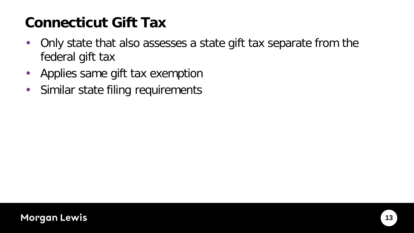## **Connecticut Gift Tax**

- Only state that also assesses a state gift tax separate from the federal gift tax
- Applies same gift tax exemption
- Similar state filing requirements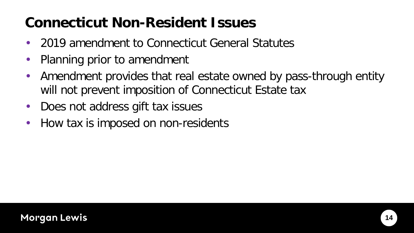## **Connecticut Non-Resident Issues**

- 2019 amendment to Connecticut General Statutes
- Planning prior to amendment
- Amendment provides that real estate owned by pass-through entity will not prevent imposition of Connecticut Estate tax
- Does not address gift tax issues
- How tax is imposed on non-residents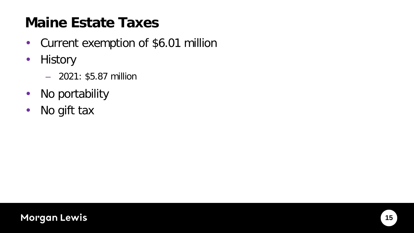## **Maine Estate Taxes**

- Current exemption of \$6.01 million
- History
	- 2021: \$5.87 million
- No portability
- No gift tax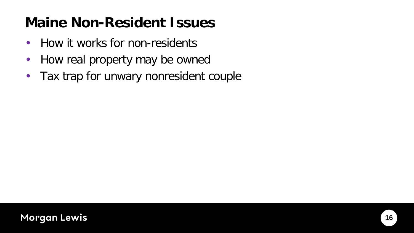## **Maine Non-Resident Issues**

- How it works for non-residents
- How real property may be owned
- Tax trap for unwary nonresident couple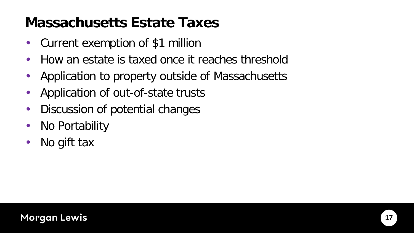## **Massachusetts Estate Taxes**

- Current exemption of \$1 million
- How an estate is taxed once it reaches threshold
- Application to property outside of Massachusetts
- Application of out-of-state trusts
- Discussion of potential changes
- No Portability
- No gift tax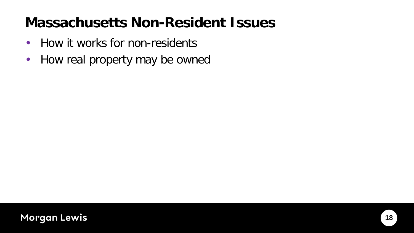## **Massachusetts Non-Resident Issues**

- How it works for non-residents
- How real property may be owned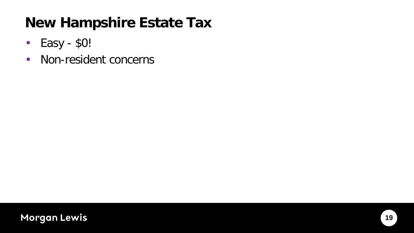## **New Hampshire Estate Tax**

- Easy \$0!
- Non-resident concerns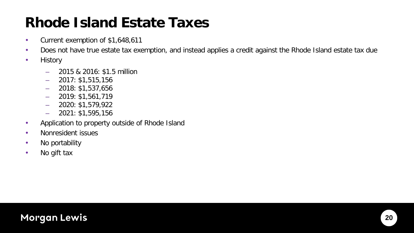## **Rhode Island Estate Taxes**

- Current exemption of \$1,648,611
- Does not have true estate tax exemption, and instead applies a credit against the Rhode Island estate tax due
- History
	- 2015 & 2016: \$1.5 million
	- 2017: \$1,515,156
	- $-$  2018: \$1,537,656
	- 2019: \$1,561,719
	- $-$  2020: \$1,579,922
	- 2021: \$1,595,156
- Application to property outside of Rhode Island
- Nonresident issues
- No portability
- No gift tax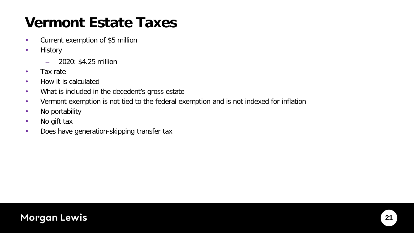## **Vermont Estate Taxes**

- Current exemption of \$5 million
- History
	- 2020: \$4.25 million
- Tax rate
- How it is calculated
- What is included in the decedent's gross estate
- Vermont exemption is not tied to the federal exemption and is not indexed for inflation
- No portability
- No gift tax
- Does have generation-skipping transfer tax